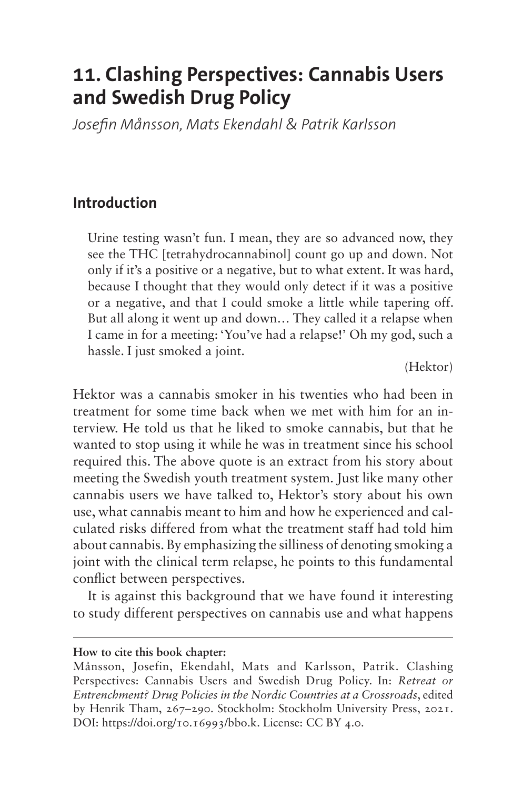# **11. Clashing Perspectives: Cannabis Users and Swedish Drug Policy**

*Josefin Månsson, Mats Ekendahl & Patrik Karlsson*

#### **Introduction**

Urine testing wasn't fun. I mean, they are so advanced now, they see the THC [tetrahydrocannabinol] count go up and down. Not only if it's a positive or a negative, but to what extent. It was hard, because I thought that they would only detect if it was a positive or a negative, and that I could smoke a little while tapering off. But all along it went up and down… They called it a relapse when I came in for a meeting: 'You've had a relapse!' Oh my god, such a hassle. I just smoked a joint.

(Hektor)

Hektor was a cannabis smoker in his twenties who had been in treatment for some time back when we met with him for an interview. He told us that he liked to smoke cannabis, but that he wanted to stop using it while he was in treatment since his school required this. The above quote is an extract from his story about meeting the Swedish youth treatment system. Just like many other cannabis users we have talked to, Hektor's story about his own use, what cannabis meant to him and how he experienced and calculated risks differed from what the treatment staff had told him about cannabis. By emphasizing the silliness of denoting smoking a joint with the clinical term relapse, he points to this fundamental conflict between perspectives.

It is against this background that we have found it interesting to study different perspectives on cannabis use and what happens

**How to cite this book chapter:**

Månsson, Josefin, Ekendahl, Mats and Karlsson, Patrik. Clashing Perspectives: Cannabis Users and Swedish Drug Policy. In: *Retreat or Entrenchment? Drug Policies in the Nordic Countries at a Crossroads*, edited by Henrik Tham, 267–290. Stockholm: Stockholm University Press, 2021. DOI:<https://doi.org/10.16993/bbo.k>. License: CC BY 4.0.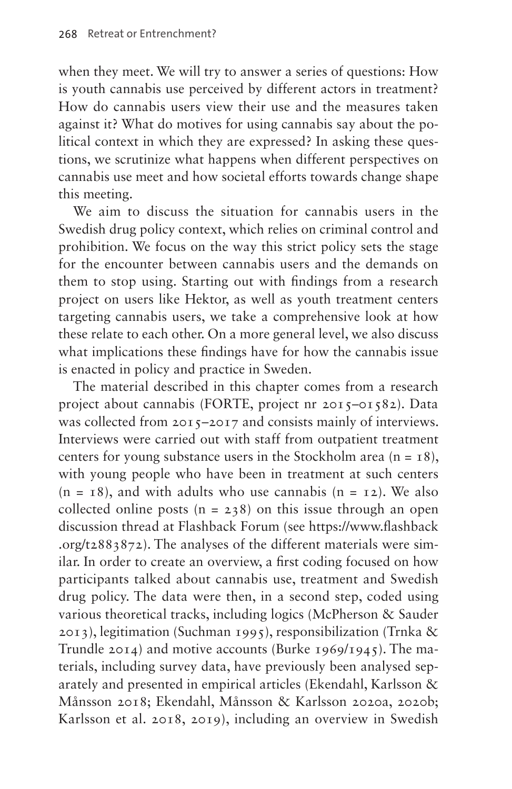when they meet. We will try to answer a series of questions: How is youth cannabis use perceived by different actors in treatment? How do cannabis users view their use and the measures taken against it? What do motives for using cannabis say about the political context in which they are expressed? In asking these questions, we scrutinize what happens when different perspectives on cannabis use meet and how societal efforts towards change shape this meeting.

We aim to discuss the situation for cannabis users in the Swedish drug policy context, which relies on criminal control and prohibition. We focus on the way this strict policy sets the stage for the encounter between cannabis users and the demands on them to stop using. Starting out with findings from a research project on users like Hektor, as well as youth treatment centers targeting cannabis users, we take a comprehensive look at how these relate to each other. On a more general level, we also discuss what implications these findings have for how the cannabis issue is enacted in policy and practice in Sweden.

The material described in this chapter comes from a research project about cannabis (FORTE, project nr 2015–01582). Data was collected from 2015–2017 and consists mainly of interviews. Interviews were carried out with staff from outpatient treatment centers for young substance users in the Stockholm area  $(n = 18)$ , with young people who have been in treatment at such centers  $(n = 18)$ , and with adults who use cannabis  $(n = 12)$ . We also collected online posts  $(n = 238)$  on this issue through an open discussion thread at Flashback Forum (see [https://www.flashback](https://www.flashback.org/t2883872) [.org/t2883872\)](https://www.flashback.org/t2883872). The analyses of the different materials were similar. In order to create an overview, a first coding focused on how participants talked about cannabis use, treatment and Swedish drug policy. The data were then, in a second step, coded using various theoretical tracks, including logics (McPherson & Sauder 2013), legitimation (Suchman 1995), responsibilization (Trnka & Trundle 2014) and motive accounts (Burke 1969/1945). The materials, including survey data, have previously been analysed separately and presented in empirical articles (Ekendahl, Karlsson & Månsson 2018; Ekendahl, Månsson & Karlsson 2020a, 2020b; Karlsson et al. 2018, 2019), including an overview in Swedish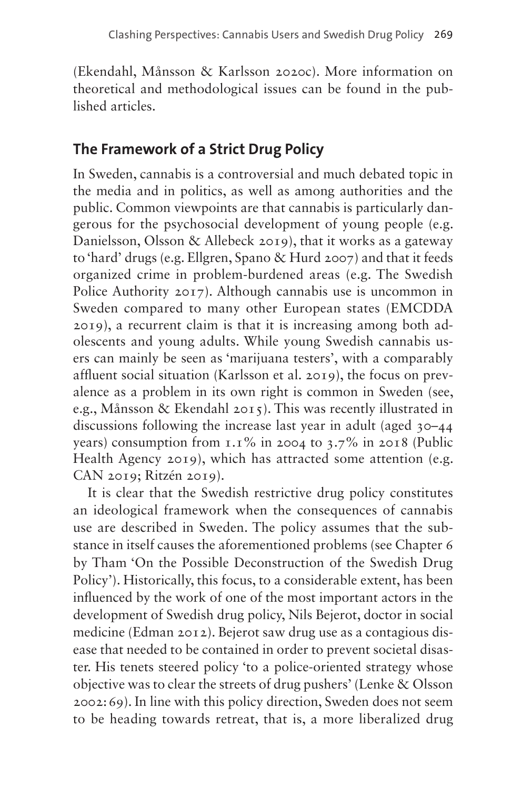(Ekendahl, Månsson & Karlsson 2020c). More information on theoretical and methodological issues can be found in the published articles.

## **The Framework of a Strict Drug Policy**

In Sweden, cannabis is a controversial and much debated topic in the media and in politics, as well as among authorities and the public. Common viewpoints are that cannabis is particularly dangerous for the psychosocial development of young people (e.g. Danielsson, Olsson & Allebeck 2019), that it works as a gateway to 'hard' drugs (e.g. Ellgren, Spano & Hurd 2007) and that it feeds organized crime in problem-burdened areas (e.g. The Swedish Police Authority 2017). Although cannabis use is uncommon in Sweden compared to many other European states (EMCDDA 2019), a recurrent claim is that it is increasing among both adolescents and young adults. While young Swedish cannabis users can mainly be seen as 'marijuana testers', with a comparably affluent social situation (Karlsson et al. 2019), the focus on prevalence as a problem in its own right is common in Sweden (see, e.g., Månsson & Ekendahl 2015). This was recently illustrated in discussions following the increase last year in adult (aged 30–44 years) consumption from  $1.1\%$  in 2004 to  $3.7\%$  in 2018 (Public Health Agency 2019), which has attracted some attention (e.g. CAN 2019; Ritzén 2019).

It is clear that the Swedish restrictive drug policy constitutes an ideological framework when the consequences of cannabis use are described in Sweden. The policy assumes that the substance in itself causes the aforementioned problems (see Chapter 6 by Tham 'On the Possible Deconstruction of the Swedish Drug Policy'). Historically, this focus, to a considerable extent, has been influenced by the work of one of the most important actors in the development of Swedish drug policy, Nils Bejerot, doctor in social medicine (Edman 2012). Bejerot saw drug use as a contagious disease that needed to be contained in order to prevent societal disaster. His tenets steered policy 'to a police-oriented strategy whose objective was to clear the streets of drug pushers' (Lenke & Olsson 2002:69). In line with this policy direction, Sweden does not seem to be heading towards retreat, that is, a more liberalized drug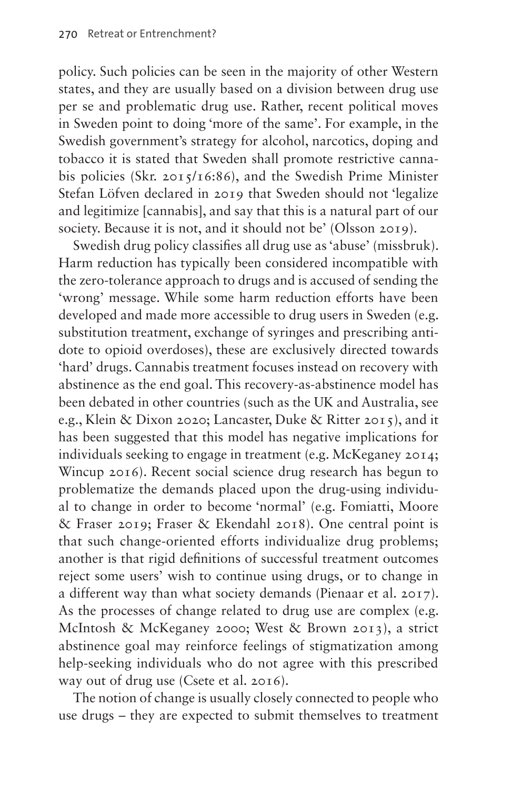policy. Such policies can be seen in the majority of other Western states, and they are usually based on a division between drug use per se and problematic drug use. Rather, recent political moves in Sweden point to doing 'more of the same'. For example, in the Swedish government's strategy for alcohol, narcotics, doping and tobacco it is stated that Sweden shall promote restrictive cannabis policies (Skr. 2015/16:86), and the Swedish Prime Minister Stefan Löfven declared in 2019 that Sweden should not 'legalize and legitimize [cannabis], and say that this is a natural part of our society. Because it is not, and it should not be' (Olsson 2019).

Swedish drug policy classifies all drug use as 'abuse' (missbruk). Harm reduction has typically been considered incompatible with the zero-tolerance approach to drugs and is accused of sending the 'wrong' message. While some harm reduction efforts have been developed and made more accessible to drug users in Sweden (e.g. substitution treatment, exchange of syringes and prescribing antidote to opioid overdoses), these are exclusively directed towards 'hard' drugs. Cannabis treatment focuses instead on recovery with abstinence as the end goal. This recovery-as-abstinence model has been debated in other countries (such as the UK and Australia, see e.g., Klein & Dixon 2020; Lancaster, Duke & Ritter 2015), and it has been suggested that this model has negative implications for individuals seeking to engage in treatment (e.g. McKeganey 2014; Wincup 2016). Recent social science drug research has begun to problematize the demands placed upon the drug-using individual to change in order to become 'normal' (e.g. Fomiatti, Moore & Fraser 2019; Fraser & Ekendahl 2018). One central point is that such change-oriented efforts individualize drug problems; another is that rigid definitions of successful treatment outcomes reject some users' wish to continue using drugs, or to change in a different way than what society demands (Pienaar et al. 2017). As the processes of change related to drug use are complex (e.g. McIntosh & McKeganey 2000; West & Brown 2013), a strict abstinence goal may reinforce feelings of stigmatization among help-seeking individuals who do not agree with this prescribed way out of drug use (Csete et al. 2016).

The notion of change is usually closely connected to people who use drugs – they are expected to submit themselves to treatment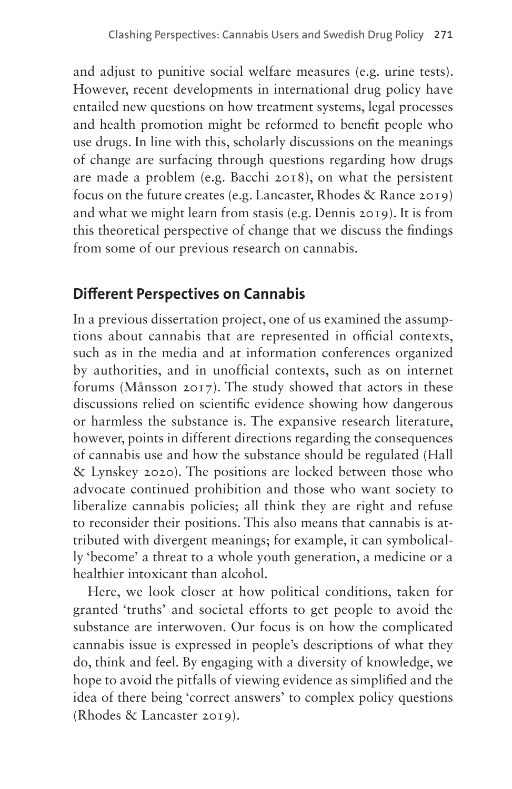and adjust to punitive social welfare measures (e.g. urine tests). However, recent developments in international drug policy have entailed new questions on how treatment systems, legal processes and health promotion might be reformed to benefit people who use drugs. In line with this, scholarly discussions on the meanings of change are surfacing through questions regarding how drugs are made a problem (e.g. Bacchi 2018), on what the persistent focus on the future creates (e.g. Lancaster, Rhodes & Rance 2019) and what we might learn from stasis (e.g. Dennis 2019). It is from this theoretical perspective of change that we discuss the findings from some of our previous research on cannabis.

## **Different Perspectives on Cannabis**

In a previous dissertation project, one of us examined the assumptions about cannabis that are represented in official contexts, such as in the media and at information conferences organized by authorities, and in unofficial contexts, such as on internet forums (Månsson 2017). The study showed that actors in these discussions relied on scientific evidence showing how dangerous or harmless the substance is. The expansive research literature, however, points in different directions regarding the consequences of cannabis use and how the substance should be regulated (Hall & Lynskey 2020). The positions are locked between those who advocate continued prohibition and those who want society to liberalize cannabis policies; all think they are right and refuse to reconsider their positions. This also means that cannabis is attributed with divergent meanings; for example, it can symbolically 'become' a threat to a whole youth generation, a medicine or a healthier intoxicant than alcohol.

Here, we look closer at how political conditions, taken for granted 'truths' and societal efforts to get people to avoid the substance are interwoven. Our focus is on how the complicated cannabis issue is expressed in people's descriptions of what they do, think and feel. By engaging with a diversity of knowledge, we hope to avoid the pitfalls of viewing evidence as simplified and the idea of there being 'correct answers' to complex policy questions (Rhodes & Lancaster 2019).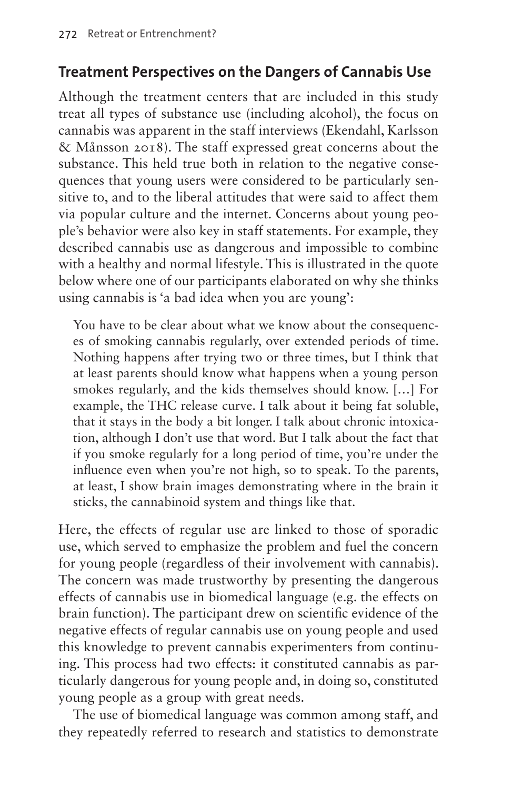### **Treatment Perspectives on the Dangers of Cannabis Use**

Although the treatment centers that are included in this study treat all types of substance use (including alcohol), the focus on cannabis was apparent in the staff interviews (Ekendahl, Karlsson & Månsson 2018). The staff expressed great concerns about the substance. This held true both in relation to the negative consequences that young users were considered to be particularly sensitive to, and to the liberal attitudes that were said to affect them via popular culture and the internet. Concerns about young people's behavior were also key in staff statements. For example, they described cannabis use as dangerous and impossible to combine with a healthy and normal lifestyle. This is illustrated in the quote below where one of our participants elaborated on why she thinks using cannabis is 'a bad idea when you are young':

You have to be clear about what we know about the consequences of smoking cannabis regularly, over extended periods of time. Nothing happens after trying two or three times, but I think that at least parents should know what happens when a young person smokes regularly, and the kids themselves should know. […] For example, the THC release curve. I talk about it being fat soluble, that it stays in the body a bit longer. I talk about chronic intoxication, although I don't use that word. But I talk about the fact that if you smoke regularly for a long period of time, you're under the influence even when you're not high, so to speak. To the parents, at least, I show brain images demonstrating where in the brain it sticks, the cannabinoid system and things like that.

Here, the effects of regular use are linked to those of sporadic use, which served to emphasize the problem and fuel the concern for young people (regardless of their involvement with cannabis). The concern was made trustworthy by presenting the dangerous effects of cannabis use in biomedical language (e.g. the effects on brain function). The participant drew on scientific evidence of the negative effects of regular cannabis use on young people and used this knowledge to prevent cannabis experimenters from continuing. This process had two effects: it constituted cannabis as particularly dangerous for young people and, in doing so, constituted young people as a group with great needs.

The use of biomedical language was common among staff, and they repeatedly referred to research and statistics to demonstrate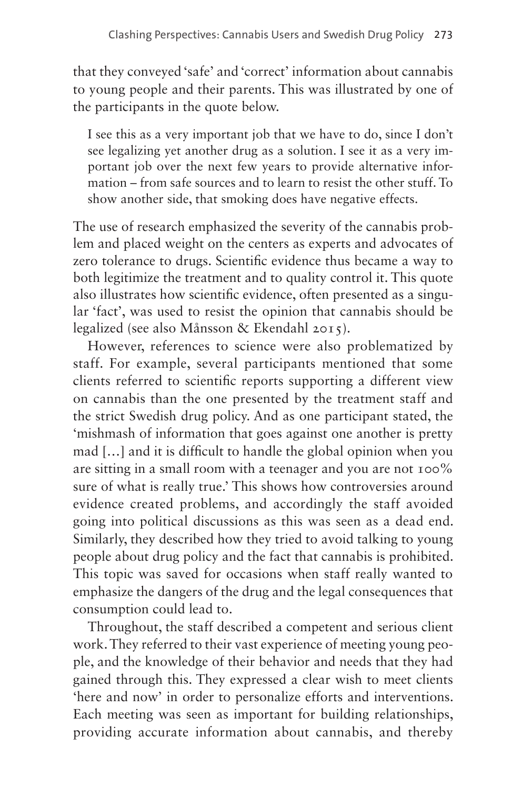that they conveyed 'safe' and 'correct' information about cannabis to young people and their parents. This was illustrated by one of the participants in the quote below.

I see this as a very important job that we have to do, since I don't see legalizing yet another drug as a solution. I see it as a very important job over the next few years to provide alternative information – from safe sources and to learn to resist the other stuff. To show another side, that smoking does have negative effects.

The use of research emphasized the severity of the cannabis problem and placed weight on the centers as experts and advocates of zero tolerance to drugs. Scientific evidence thus became a way to both legitimize the treatment and to quality control it. This quote also illustrates how scientific evidence, often presented as a singular 'fact', was used to resist the opinion that cannabis should be legalized (see also Månsson & Ekendahl 2015).

However, references to science were also problematized by staff. For example, several participants mentioned that some clients referred to scientific reports supporting a different view on cannabis than the one presented by the treatment staff and the strict Swedish drug policy. And as one participant stated, the 'mishmash of information that goes against one another is pretty mad […] and it is difficult to handle the global opinion when you are sitting in a small room with a teenager and you are not 100% sure of what is really true.' This shows how controversies around evidence created problems, and accordingly the staff avoided going into political discussions as this was seen as a dead end. Similarly, they described how they tried to avoid talking to young people about drug policy and the fact that cannabis is prohibited. This topic was saved for occasions when staff really wanted to emphasize the dangers of the drug and the legal consequences that consumption could lead to.

Throughout, the staff described a competent and serious client work. They referred to their vast experience of meeting young people, and the knowledge of their behavior and needs that they had gained through this. They expressed a clear wish to meet clients 'here and now' in order to personalize efforts and interventions. Each meeting was seen as important for building relationships, providing accurate information about cannabis, and thereby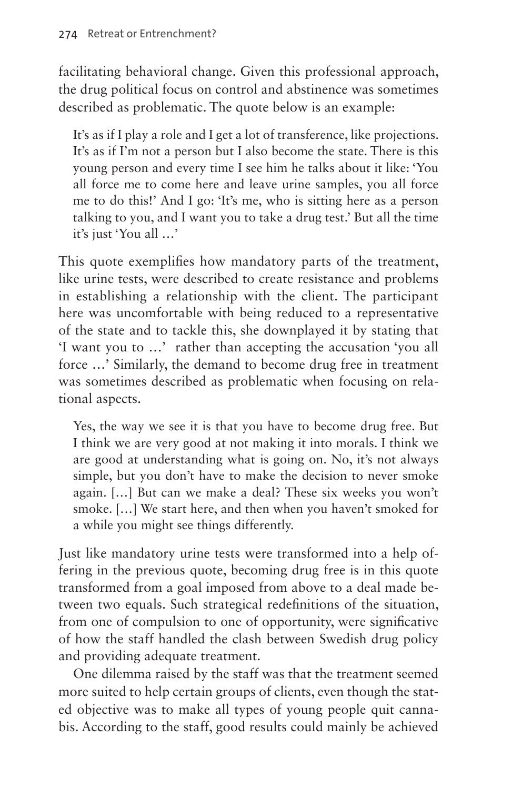facilitating behavioral change. Given this professional approach, the drug political focus on control and abstinence was sometimes described as problematic. The quote below is an example:

It's as if I play a role and I get a lot of transference, like projections. It's as if I'm not a person but I also become the state. There is this young person and every time I see him he talks about it like: 'You all force me to come here and leave urine samples, you all force me to do this!' And I go: 'It's me, who is sitting here as a person talking to you, and I want you to take a drug test.' But all the time it's just 'You all …'

This quote exemplifies how mandatory parts of the treatment, like urine tests, were described to create resistance and problems in establishing a relationship with the client. The participant here was uncomfortable with being reduced to a representative of the state and to tackle this, she downplayed it by stating that 'I want you to …' rather than accepting the accusation 'you all force …' Similarly, the demand to become drug free in treatment was sometimes described as problematic when focusing on relational aspects.

Yes, the way we see it is that you have to become drug free. But I think we are very good at not making it into morals. I think we are good at understanding what is going on. No, it's not always simple, but you don't have to make the decision to never smoke again. […] But can we make a deal? These six weeks you won't smoke. […] We start here, and then when you haven't smoked for a while you might see things differently.

Just like mandatory urine tests were transformed into a help offering in the previous quote, becoming drug free is in this quote transformed from a goal imposed from above to a deal made between two equals. Such strategical redefinitions of the situation, from one of compulsion to one of opportunity, were significative of how the staff handled the clash between Swedish drug policy and providing adequate treatment.

One dilemma raised by the staff was that the treatment seemed more suited to help certain groups of clients, even though the stated objective was to make all types of young people quit cannabis. According to the staff, good results could mainly be achieved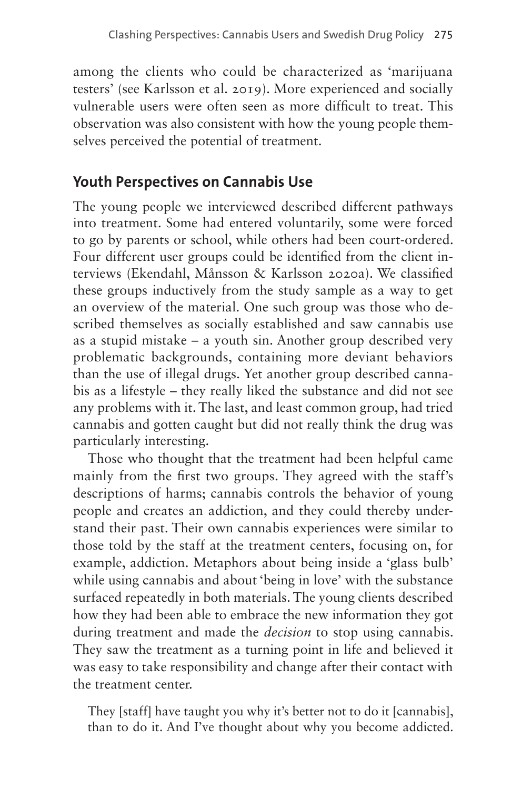among the clients who could be characterized as 'marijuana testers' (see Karlsson et al. 2019). More experienced and socially vulnerable users were often seen as more difficult to treat. This observation was also consistent with how the young people themselves perceived the potential of treatment.

## **Youth Perspectives on Cannabis Use**

The young people we interviewed described different pathways into treatment. Some had entered voluntarily, some were forced to go by parents or school, while others had been court-ordered. Four different user groups could be identified from the client interviews (Ekendahl, Månsson & Karlsson 2020a). We classified these groups inductively from the study sample as a way to get an overview of the material. One such group was those who described themselves as socially established and saw cannabis use as a stupid mistake – a youth sin. Another group described very problematic backgrounds, containing more deviant behaviors than the use of illegal drugs. Yet another group described cannabis as a lifestyle – they really liked the substance and did not see any problems with it. The last, and least common group, had tried cannabis and gotten caught but did not really think the drug was particularly interesting.

Those who thought that the treatment had been helpful came mainly from the first two groups. They agreed with the staff's descriptions of harms; cannabis controls the behavior of young people and creates an addiction, and they could thereby understand their past. Their own cannabis experiences were similar to those told by the staff at the treatment centers, focusing on, for example, addiction. Metaphors about being inside a 'glass bulb' while using cannabis and about 'being in love' with the substance surfaced repeatedly in both materials. The young clients described how they had been able to embrace the new information they got during treatment and made the *decision* to stop using cannabis. They saw the treatment as a turning point in life and believed it was easy to take responsibility and change after their contact with the treatment center.

They [staff] have taught you why it's better not to do it [cannabis], than to do it. And I've thought about why you become addicted.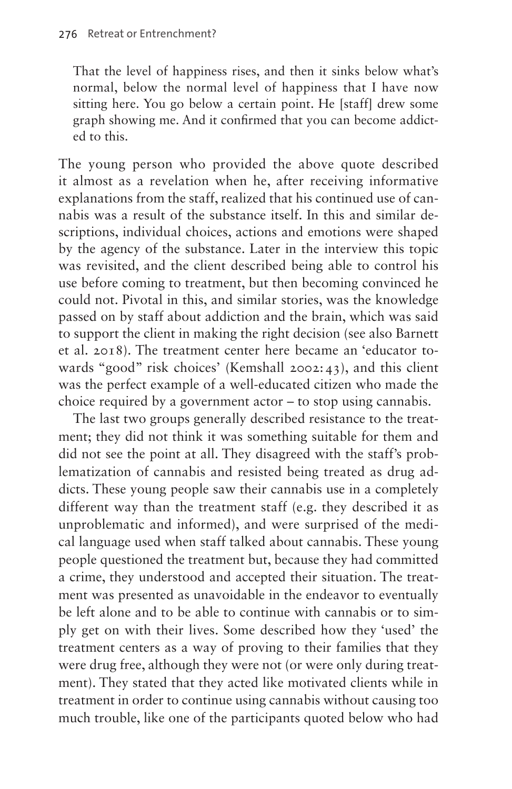That the level of happiness rises, and then it sinks below what's normal, below the normal level of happiness that I have now sitting here. You go below a certain point. He [staff] drew some graph showing me. And it confirmed that you can become addicted to this.

The young person who provided the above quote described it almost as a revelation when he, after receiving informative explanations from the staff, realized that his continued use of cannabis was a result of the substance itself. In this and similar descriptions, individual choices, actions and emotions were shaped by the agency of the substance. Later in the interview this topic was revisited, and the client described being able to control his use before coming to treatment, but then becoming convinced he could not. Pivotal in this, and similar stories, was the knowledge passed on by staff about addiction and the brain, which was said to support the client in making the right decision (see also Barnett et al. 2018). The treatment center here became an 'educator towards "good" risk choices' (Kemshall 2002:43), and this client was the perfect example of a well-educated citizen who made the choice required by a government actor – to stop using cannabis.

The last two groups generally described resistance to the treatment; they did not think it was something suitable for them and did not see the point at all. They disagreed with the staff's problematization of cannabis and resisted being treated as drug addicts. These young people saw their cannabis use in a completely different way than the treatment staff (e.g. they described it as unproblematic and informed), and were surprised of the medical language used when staff talked about cannabis. These young people questioned the treatment but, because they had committed a crime, they understood and accepted their situation. The treatment was presented as unavoidable in the endeavor to eventually be left alone and to be able to continue with cannabis or to simply get on with their lives. Some described how they 'used' the treatment centers as a way of proving to their families that they were drug free, although they were not (or were only during treatment). They stated that they acted like motivated clients while in treatment in order to continue using cannabis without causing too much trouble, like one of the participants quoted below who had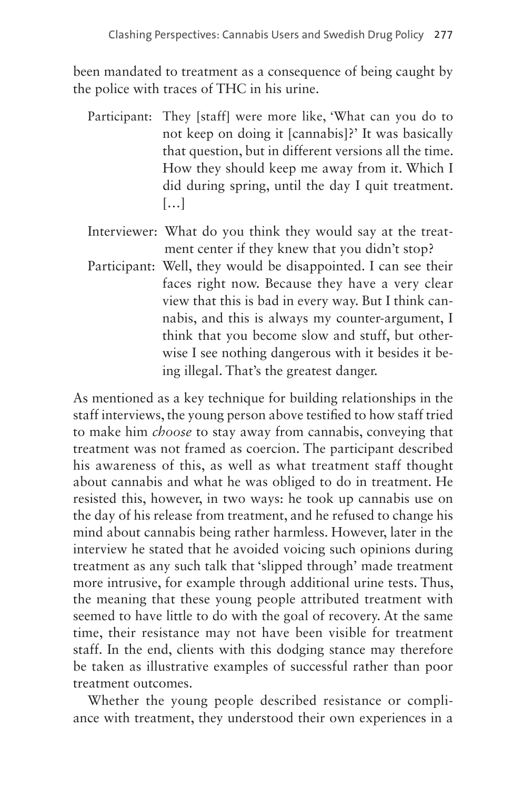been mandated to treatment as a consequence of being caught by the police with traces of THC in his urine.

- Participant: They [staff] were more like, 'What can you do to not keep on doing it [cannabis]?' It was basically that question, but in different versions all the time. How they should keep me away from it. Which I did during spring, until the day I quit treatment. […]
- Interviewer: What do you think they would say at the treatment center if they knew that you didn't stop?
- Participant: Well, they would be disappointed. I can see their faces right now. Because they have a very clear view that this is bad in every way. But I think cannabis, and this is always my counter-argument, I think that you become slow and stuff, but otherwise I see nothing dangerous with it besides it being illegal. That's the greatest danger.

As mentioned as a key technique for building relationships in the staff interviews, the young person above testified to how staff tried to make him *choose* to stay away from cannabis, conveying that treatment was not framed as coercion. The participant described his awareness of this, as well as what treatment staff thought about cannabis and what he was obliged to do in treatment. He resisted this, however, in two ways: he took up cannabis use on the day of his release from treatment, and he refused to change his mind about cannabis being rather harmless. However, later in the interview he stated that he avoided voicing such opinions during treatment as any such talk that 'slipped through' made treatment more intrusive, for example through additional urine tests. Thus, the meaning that these young people attributed treatment with seemed to have little to do with the goal of recovery. At the same time, their resistance may not have been visible for treatment staff. In the end, clients with this dodging stance may therefore be taken as illustrative examples of successful rather than poor treatment outcomes.

Whether the young people described resistance or compliance with treatment, they understood their own experiences in a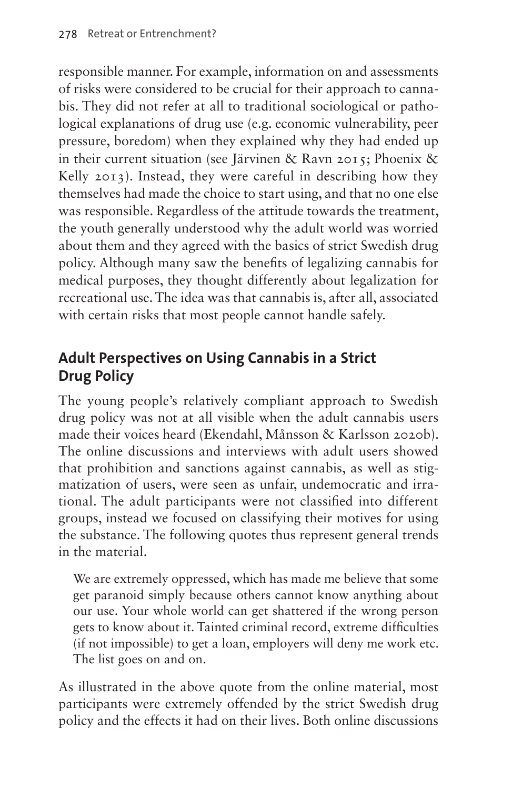responsible manner. For example, information on and assessments of risks were considered to be crucial for their approach to cannabis. They did not refer at all to traditional sociological or pathological explanations of drug use (e.g. economic vulnerability, peer pressure, boredom) when they explained why they had ended up in their current situation (see Järvinen & Ravn 2015; Phoenix & Kelly 2013). Instead, they were careful in describing how they themselves had made the choice to start using, and that no one else was responsible. Regardless of the attitude towards the treatment, the youth generally understood why the adult world was worried about them and they agreed with the basics of strict Swedish drug policy. Although many saw the benefits of legalizing cannabis for medical purposes, they thought differently about legalization for recreational use. The idea was that cannabis is, after all, associated with certain risks that most people cannot handle safely.

## **Adult Perspectives on Using Cannabis in a Strict Drug Policy**

The young people's relatively compliant approach to Swedish drug policy was not at all visible when the adult cannabis users made their voices heard (Ekendahl, Månsson & Karlsson 2020b). The online discussions and interviews with adult users showed that prohibition and sanctions against cannabis, as well as stigmatization of users, were seen as unfair, undemocratic and irrational. The adult participants were not classified into different groups, instead we focused on classifying their motives for using the substance. The following quotes thus represent general trends in the material.

We are extremely oppressed, which has made me believe that some get paranoid simply because others cannot know anything about our use. Your whole world can get shattered if the wrong person gets to know about it. Tainted criminal record, extreme difficulties (if not impossible) to get a loan, employers will deny me work etc. The list goes on and on.

As illustrated in the above quote from the online material, most participants were extremely offended by the strict Swedish drug policy and the effects it had on their lives. Both online discussions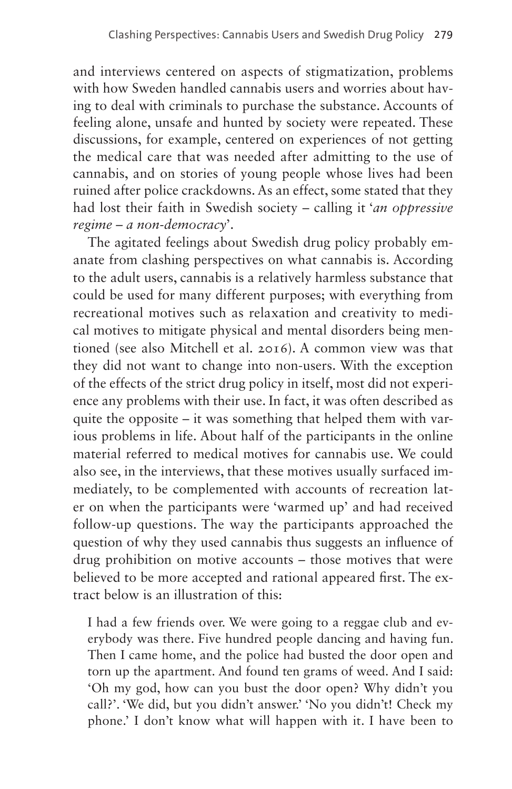and interviews centered on aspects of stigmatization, problems with how Sweden handled cannabis users and worries about having to deal with criminals to purchase the substance. Accounts of feeling alone, unsafe and hunted by society were repeated. These discussions, for example, centered on experiences of not getting the medical care that was needed after admitting to the use of cannabis, and on stories of young people whose lives had been ruined after police crackdowns. As an effect, some stated that they had lost their faith in Swedish society – calling it '*an oppressive regime – a non-democracy*'.

The agitated feelings about Swedish drug policy probably emanate from clashing perspectives on what cannabis is. According to the adult users, cannabis is a relatively harmless substance that could be used for many different purposes; with everything from recreational motives such as relaxation and creativity to medical motives to mitigate physical and mental disorders being mentioned (see also Mitchell et al. 2016). A common view was that they did not want to change into non-users. With the exception of the effects of the strict drug policy in itself, most did not experience any problems with their use. In fact, it was often described as quite the opposite – it was something that helped them with various problems in life. About half of the participants in the online material referred to medical motives for cannabis use. We could also see, in the interviews, that these motives usually surfaced immediately, to be complemented with accounts of recreation later on when the participants were 'warmed up' and had received follow-up questions. The way the participants approached the question of why they used cannabis thus suggests an influence of drug prohibition on motive accounts – those motives that were believed to be more accepted and rational appeared first. The extract below is an illustration of this:

I had a few friends over. We were going to a reggae club and everybody was there. Five hundred people dancing and having fun. Then I came home, and the police had busted the door open and torn up the apartment. And found ten grams of weed. And I said: 'Oh my god, how can you bust the door open? Why didn't you call?'. 'We did, but you didn't answer.' 'No you didn't! Check my phone.' I don't know what will happen with it. I have been to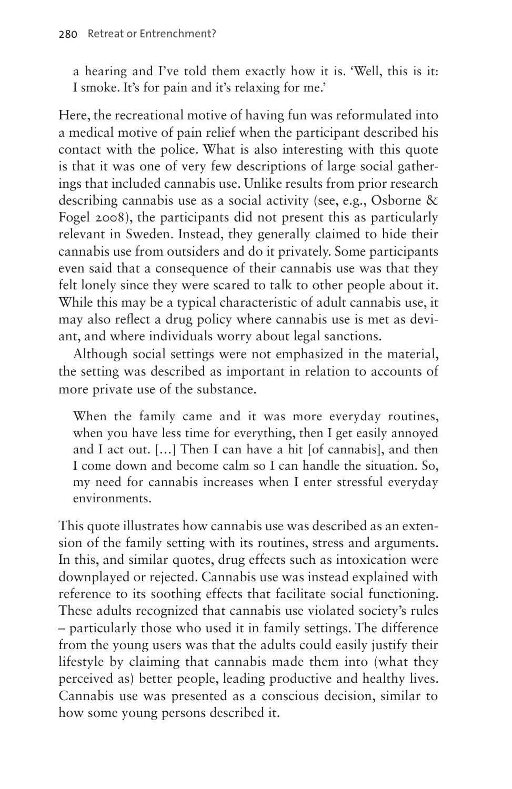a hearing and I've told them exactly how it is. 'Well, this is it: I smoke. It's for pain and it's relaxing for me.'

Here, the recreational motive of having fun was reformulated into a medical motive of pain relief when the participant described his contact with the police. What is also interesting with this quote is that it was one of very few descriptions of large social gatherings that included cannabis use. Unlike results from prior research describing cannabis use as a social activity (see, e.g., Osborne & Fogel 2008), the participants did not present this as particularly relevant in Sweden. Instead, they generally claimed to hide their cannabis use from outsiders and do it privately. Some participants even said that a consequence of their cannabis use was that they felt lonely since they were scared to talk to other people about it. While this may be a typical characteristic of adult cannabis use, it may also reflect a drug policy where cannabis use is met as deviant, and where individuals worry about legal sanctions.

Although social settings were not emphasized in the material, the setting was described as important in relation to accounts of more private use of the substance.

When the family came and it was more everyday routines, when you have less time for everything, then I get easily annoyed and I act out. […] Then I can have a hit [of cannabis], and then I come down and become calm so I can handle the situation. So, my need for cannabis increases when I enter stressful everyday environments.

This quote illustrates how cannabis use was described as an extension of the family setting with its routines, stress and arguments. In this, and similar quotes, drug effects such as intoxication were downplayed or rejected. Cannabis use was instead explained with reference to its soothing effects that facilitate social functioning. These adults recognized that cannabis use violated society's rules – particularly those who used it in family settings. The difference from the young users was that the adults could easily justify their lifestyle by claiming that cannabis made them into (what they perceived as) better people, leading productive and healthy lives. Cannabis use was presented as a conscious decision, similar to how some young persons described it.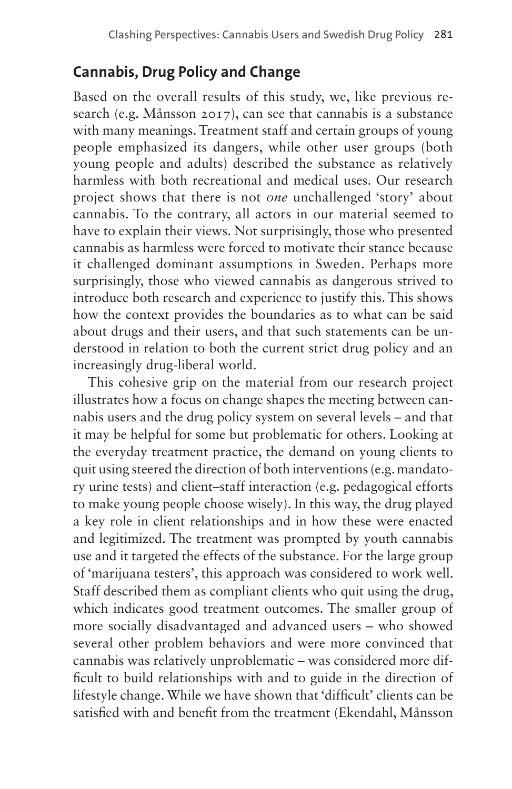## **Cannabis, Drug Policy and Change**

Based on the overall results of this study, we, like previous research (e.g. Månsson 2017), can see that cannabis is a substance with many meanings. Treatment staff and certain groups of young people emphasized its dangers, while other user groups (both young people and adults) described the substance as relatively harmless with both recreational and medical uses. Our research project shows that there is not *one* unchallenged 'story' about cannabis. To the contrary, all actors in our material seemed to have to explain their views. Not surprisingly, those who presented cannabis as harmless were forced to motivate their stance because it challenged dominant assumptions in Sweden. Perhaps more surprisingly, those who viewed cannabis as dangerous strived to introduce both research and experience to justify this. This shows how the context provides the boundaries as to what can be said about drugs and their users, and that such statements can be understood in relation to both the current strict drug policy and an increasingly drug-liberal world.

This cohesive grip on the material from our research project illustrates how a focus on change shapes the meeting between cannabis users and the drug policy system on several levels – and that it may be helpful for some but problematic for others. Looking at the everyday treatment practice, the demand on young clients to quit using steered the direction of both interventions (e.g. mandatory urine tests) and client–staff interaction (e.g. pedagogical efforts to make young people choose wisely). In this way, the drug played a key role in client relationships and in how these were enacted and legitimized. The treatment was prompted by youth cannabis use and it targeted the effects of the substance. For the large group of 'marijuana testers', this approach was considered to work well. Staff described them as compliant clients who quit using the drug, which indicates good treatment outcomes. The smaller group of more socially disadvantaged and advanced users – who showed several other problem behaviors and were more convinced that cannabis was relatively unproblematic – was considered more difficult to build relationships with and to guide in the direction of lifestyle change. While we have shown that 'difficult' clients can be satisfied with and benefit from the treatment (Ekendahl, Månsson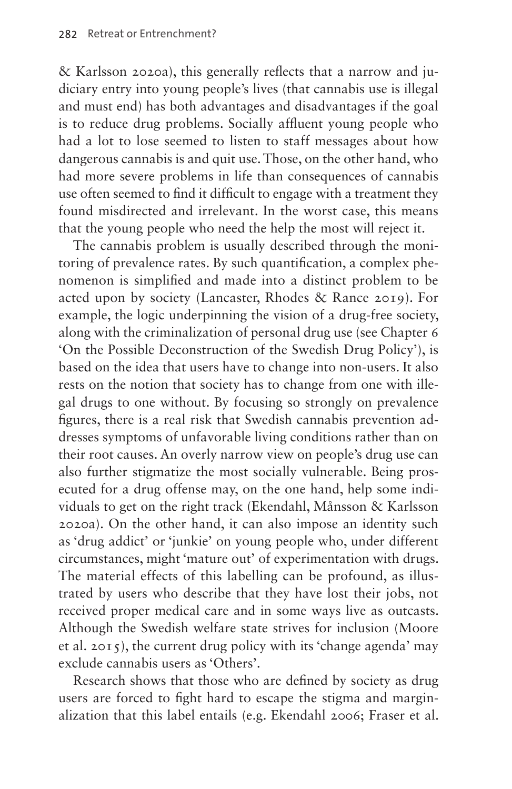& Karlsson 2020a), this generally reflects that a narrow and judiciary entry into young people's lives (that cannabis use is illegal and must end) has both advantages and disadvantages if the goal is to reduce drug problems. Socially affluent young people who had a lot to lose seemed to listen to staff messages about how dangerous cannabis is and quit use. Those, on the other hand, who had more severe problems in life than consequences of cannabis use often seemed to find it difficult to engage with a treatment they found misdirected and irrelevant. In the worst case, this means that the young people who need the help the most will reject it.

The cannabis problem is usually described through the monitoring of prevalence rates. By such quantification, a complex phenomenon is simplified and made into a distinct problem to be acted upon by society (Lancaster, Rhodes & Rance 2019). For example, the logic underpinning the vision of a drug-free society, along with the criminalization of personal drug use (see Chapter 6 'On the Possible Deconstruction of the Swedish Drug Policy'), is based on the idea that users have to change into non-users. It also rests on the notion that society has to change from one with illegal drugs to one without. By focusing so strongly on prevalence figures, there is a real risk that Swedish cannabis prevention addresses symptoms of unfavorable living conditions rather than on their root causes. An overly narrow view on people's drug use can also further stigmatize the most socially vulnerable. Being prosecuted for a drug offense may, on the one hand, help some individuals to get on the right track (Ekendahl, Månsson & Karlsson 2020a). On the other hand, it can also impose an identity such as 'drug addict' or 'junkie' on young people who, under different circumstances, might 'mature out' of experimentation with drugs. The material effects of this labelling can be profound, as illustrated by users who describe that they have lost their jobs, not received proper medical care and in some ways live as outcasts. Although the Swedish welfare state strives for inclusion (Moore et al. 2015), the current drug policy with its 'change agenda' may exclude cannabis users as 'Others'.

Research shows that those who are defined by society as drug users are forced to fight hard to escape the stigma and marginalization that this label entails (e.g. Ekendahl 2006; Fraser et al.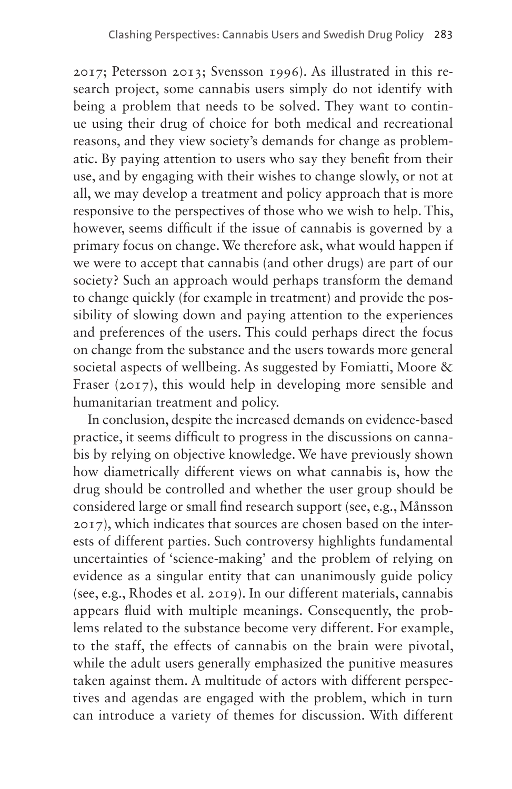2017; Petersson 2013; Svensson 1996). As illustrated in this research project, some cannabis users simply do not identify with being a problem that needs to be solved. They want to continue using their drug of choice for both medical and recreational reasons, and they view society's demands for change as problematic. By paying attention to users who say they benefit from their use, and by engaging with their wishes to change slowly, or not at all, we may develop a treatment and policy approach that is more responsive to the perspectives of those who we wish to help. This, however, seems difficult if the issue of cannabis is governed by a primary focus on change. We therefore ask, what would happen if we were to accept that cannabis (and other drugs) are part of our society? Such an approach would perhaps transform the demand to change quickly (for example in treatment) and provide the possibility of slowing down and paying attention to the experiences and preferences of the users. This could perhaps direct the focus on change from the substance and the users towards more general societal aspects of wellbeing. As suggested by Fomiatti, Moore & Fraser (2017), this would help in developing more sensible and humanitarian treatment and policy.

In conclusion, despite the increased demands on evidence-based practice, it seems difficult to progress in the discussions on cannabis by relying on objective knowledge. We have previously shown how diametrically different views on what cannabis is, how the drug should be controlled and whether the user group should be considered large or small find research support (see, e.g., Månsson 2017), which indicates that sources are chosen based on the interests of different parties. Such controversy highlights fundamental uncertainties of 'science-making' and the problem of relying on evidence as a singular entity that can unanimously guide policy (see, e.g., Rhodes et al. 2019). In our different materials, cannabis appears fluid with multiple meanings. Consequently, the problems related to the substance become very different. For example, to the staff, the effects of cannabis on the brain were pivotal, while the adult users generally emphasized the punitive measures taken against them. A multitude of actors with different perspectives and agendas are engaged with the problem, which in turn can introduce a variety of themes for discussion. With different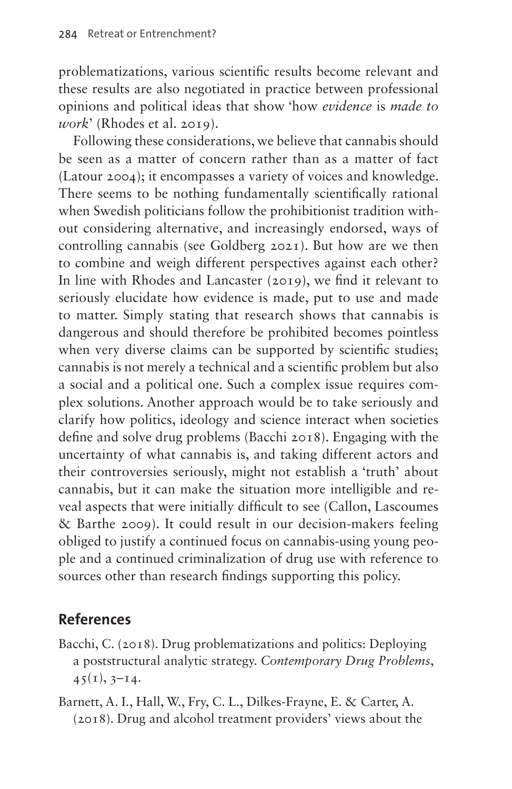problematizations, various scientific results become relevant and these results are also negotiated in practice between professional opinions and political ideas that show 'how *evidence* is *made to work*' (Rhodes et al. 2019).

Following these considerations, we believe that cannabis should be seen as a matter of concern rather than as a matter of fact (Latour 2004); it encompasses a variety of voices and knowledge. There seems to be nothing fundamentally scientifically rational when Swedish politicians follow the prohibitionist tradition without considering alternative, and increasingly endorsed, ways of controlling cannabis (see Goldberg 2021). But how are we then to combine and weigh different perspectives against each other? In line with Rhodes and Lancaster (2019), we find it relevant to seriously elucidate how evidence is made, put to use and made to matter. Simply stating that research shows that cannabis is dangerous and should therefore be prohibited becomes pointless when very diverse claims can be supported by scientific studies; cannabis is not merely a technical and a scientific problem but also a social and a political one. Such a complex issue requires complex solutions. Another approach would be to take seriously and clarify how politics, ideology and science interact when societies define and solve drug problems (Bacchi 2018). Engaging with the uncertainty of what cannabis is, and taking different actors and their controversies seriously, might not establish a 'truth' about cannabis, but it can make the situation more intelligible and reveal aspects that were initially difficult to see (Callon, Lascoumes & Barthe 2009). It could result in our decision-makers feeling obliged to justify a continued focus on cannabis-using young people and a continued criminalization of drug use with reference to sources other than research findings supporting this policy.

#### **References**

- Bacchi, C. (2018). Drug problematizations and politics: Deploying a poststructural analytic strategy. *Contemporary Drug Problems*,  $45(1), 3-14.$
- Barnett, A. I., Hall, W., Fry, C. L., Dilkes‐Frayne, E. & Carter, A. (2018). Drug and alcohol treatment providers' views about the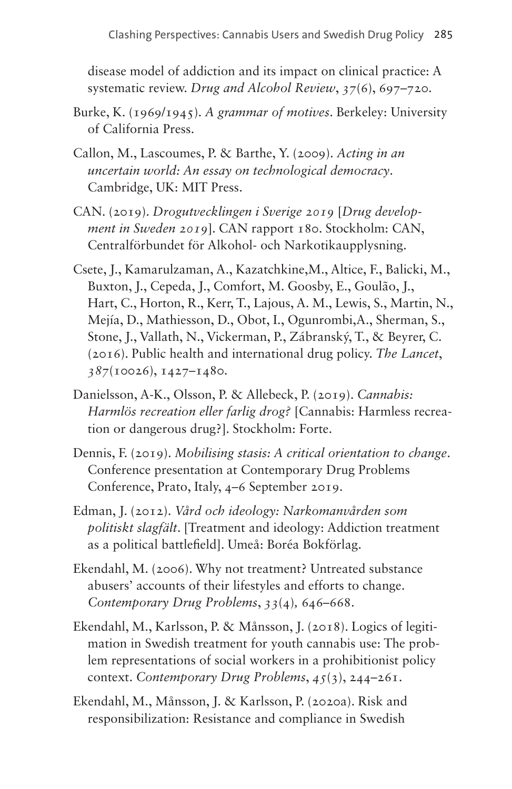disease model of addiction and its impact on clinical practice: A systematic review. *Drug and Alcohol Review*, *37*(6), 697–720.

- Burke, K. (1969/1945). *A grammar of motives*. Berkeley: University of California Press.
- Callon, M., Lascoumes, P. & Barthe, Y. (2009). *Acting in an uncertain world: An essay on technological democracy*. Cambridge, UK: MIT Press.
- CAN. (2019). *Drogutvecklingen i Sverige 2019* [*Drug development in Sweden 2019*]. CAN rapport 180. Stockholm: CAN, Centralförbundet för Alkohol- och Narkotikaupplysning.
- Csete, J., Kamarulzaman, A., Kazatchkine,M., Altice, F., Balicki, M., Buxton, J., Cepeda, J., Comfort, M. Goosby, E., Goulão, J., Hart, C., Horton, R., Kerr, T., Lajous, A. M., Lewis, S., Martin, N., Mejía, D., Mathiesson, D., Obot, I., Ogunrombi,A., Sherman, S., Stone, J., Vallath, N., Vickerman, P., Zábranský, T., & Beyrer, C. (2016). Public health and international drug policy. *The Lancet*, *387*(10026), 1427–1480.
- Danielsson, A-K., Olsson, P. & Allebeck, P. (2019). *Cannabis: Harmlös recreation eller farlig drog?* [Cannabis: Harmless recreation or dangerous drug?]. Stockholm: Forte.
- Dennis, F. (2019). *Mobilising stasis: A critical orientation to change*. Conference presentation at Contemporary Drug Problems Conference, Prato, Italy, 4–6 September 2019.
- Edman, J. (2012). *Vård och ideology: Narkomanvården som politiskt slagfält*. [Treatment and ideology: Addiction treatment as a political battlefield]. Umeå: Boréa Bokförlag.
- Ekendahl, M. (2006). Why not treatment? Untreated substance abusers' accounts of their lifestyles and efforts to change. *Contemporary Drug Problems*, *33*(4)*,* 646–668.
- Ekendahl, M., Karlsson, P. & Månsson, J. (2018). Logics of legitimation in Swedish treatment for youth cannabis use: The problem representations of social workers in a prohibitionist policy context. *Contemporary Drug Problems*, *45*(3), 244–261.
- Ekendahl, M., Månsson, J. & Karlsson, P. (2020a). Risk and responsibilization: Resistance and compliance in Swedish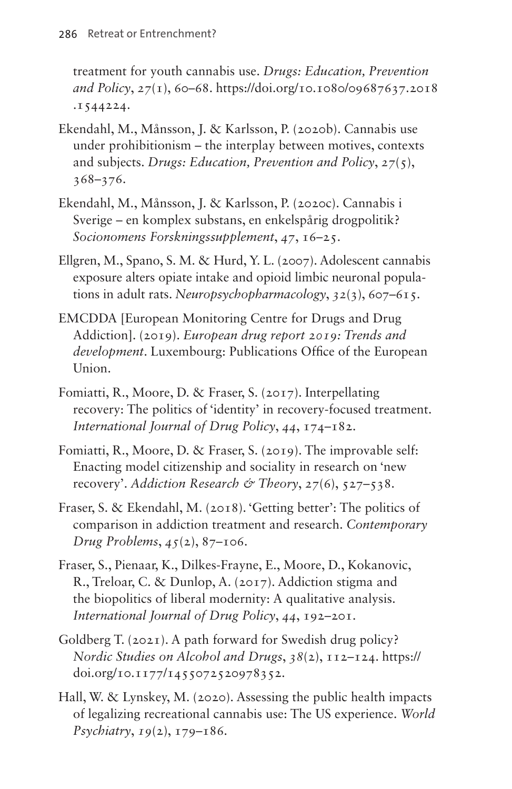treatment for youth cannabis use. *Drugs: Education, Prevention and Policy*, *27*(1), 60–68. [https://doi.org/10.1080/09687637.2018](https://doi.org/10.1080/09687637.2018.1544224) [.1544224](https://doi.org/10.1080/09687637.2018.1544224).

- Ekendahl, M., Månsson, J. & Karlsson, P. (2020b). Cannabis use under prohibitionism – the interplay between motives, contexts and subjects. *Drugs: Education, Prevention and Policy*, *27*(5), 368–376.
- Ekendahl, M., Månsson, J. & Karlsson, P. (2020c). Cannabis i Sverige – en komplex substans, en enkelspårig drogpolitik? *Socionomens Forskningssupplement*, *47*, 16–25.
- Ellgren, M., Spano, S. M. & Hurd, Y. L. (2007). Adolescent cannabis exposure alters opiate intake and opioid limbic neuronal populations in adult rats. *Neuropsychopharmacology*, *32*(3), 607–615.
- EMCDDA [European Monitoring Centre for Drugs and Drug Addiction]. (2019). *European drug report 2019: Trends and development*. Luxembourg: Publications Office of the European Union.
- Fomiatti, R., Moore, D. & Fraser, S. (2017). Interpellating recovery: The politics of 'identity' in recovery-focused treatment. *International Journal of Drug Policy*, *44*, 174–182.
- Fomiatti, R., Moore, D. & Fraser, S. (2019). The improvable self: Enacting model citizenship and sociality in research on 'new recovery'. *Addiction Research & Theory*, 27(6), 527–538.
- Fraser, S. & Ekendahl, M. (2018). 'Getting better': The politics of comparison in addiction treatment and research. *Contemporary Drug Problems*, *45*(2), 87–106.
- Fraser, S., Pienaar, K., Dilkes-Frayne, E., Moore, D., Kokanovic, R., Treloar, C. & Dunlop, A. (2017). Addiction stigma and the biopolitics of liberal modernity: A qualitative analysis. *International Journal of Drug Policy*, *44*, 192–201.
- Goldberg T. (2021). A path forward for Swedish drug policy? *Nordic Studies on Alcohol and Drugs*, *38*(2), 112–124. [https://](https://doi.org/10.1177/1455072520978352) [doi.org/10.1177/1455072520978352](https://doi.org/10.1177/1455072520978352).
- Hall, W. & Lynskey, M. (2020). Assessing the public health impacts of legalizing recreational cannabis use: The US experience. *World Psychiatry*, *19*(2), 179–186.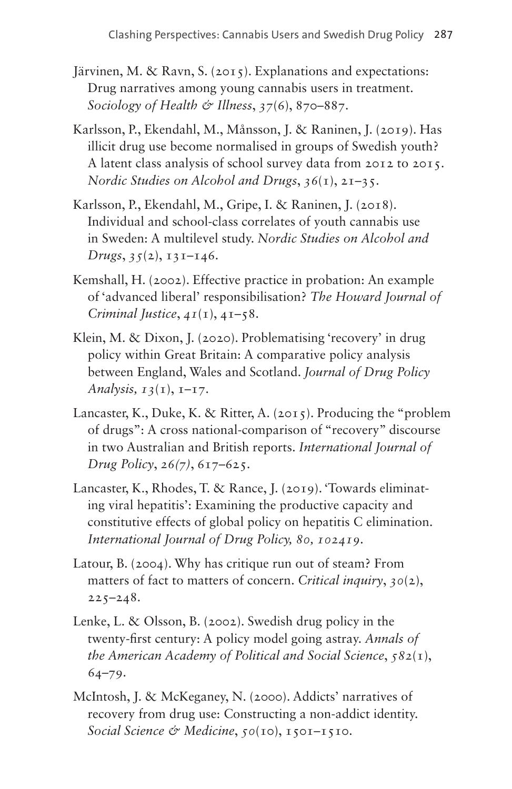- Järvinen, M. & Ravn, S. (2015). Explanations and expectations: Drug narratives among young cannabis users in treatment. *Sociology of Health & Illness*, *37*(6), 870–887.
- Karlsson, P., Ekendahl, M., Månsson, J. & Raninen, J. (2019). Has illicit drug use become normalised in groups of Swedish youth? A latent class analysis of school survey data from 2012 to 2015. *Nordic Studies on Alcohol and Drugs*, *36*(1), 21–35.
- Karlsson, P., Ekendahl, M., Gripe, I. & Raninen, J. (2018). Individual and school-class correlates of youth cannabis use in Sweden: A multilevel study. *Nordic Studies on Alcohol and Drugs*, *35*(2), 131–146.
- Kemshall, H. (2002). Effective practice in probation: An example of 'advanced liberal' responsibilisation? *The Howard Journal of Criminal Justice*, *41*(1), 41–58.
- Klein, M. & Dixon, J. (2020). Problematising 'recovery' in drug policy within Great Britain: A comparative policy analysis between England, Wales and Scotland. *Journal of Drug Policy Analysis, 13*(1), 1–17.
- Lancaster, K., Duke, K. & Ritter, A. (2015). Producing the "problem of drugs": A cross national-comparison of "recovery" discourse in two Australian and British reports. *International Journal of Drug Policy*, *26(7)*, 617–625.
- Lancaster, K., Rhodes, T. & Rance, J. (2019). 'Towards eliminating viral hepatitis': Examining the productive capacity and constitutive effects of global policy on hepatitis C elimination. *International Journal of Drug Policy, 80, 102419*.
- Latour, B. (2004). Why has critique run out of steam? From matters of fact to matters of concern. *Critical inquiry*, *30*(2),  $225 - 248.$
- Lenke, L. & Olsson, B. (2002). Swedish drug policy in the twenty-first century: A policy model going astray. *Annals of the American Academy of Political and Social Science*, *582*(1), 64–79.
- McIntosh, J. & McKeganey, N. (2000). Addicts' narratives of recovery from drug use: Constructing a non-addict identity. *Social Science & Medicine*, *50*(10), 1501–1510.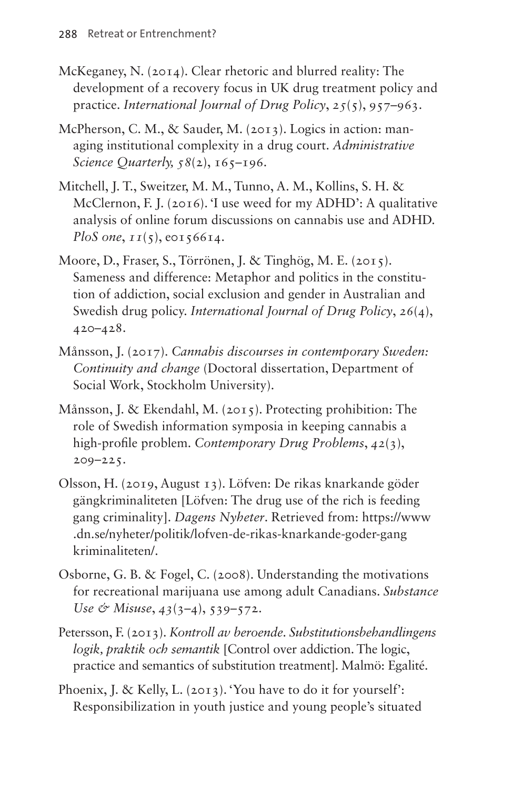- McKeganey, N. (2014). Clear rhetoric and blurred reality: The development of a recovery focus in UK drug treatment policy and practice. *International Journal of Drug Policy*, *25*(5), 957–963.
- McPherson, C. M., & Sauder, M. (2013). Logics in action: managing institutional complexity in a drug court. *Administrative Science Quarterly, 58(2), 165–196.*
- Mitchell, J. T., Sweitzer, M. M., Tunno, A. M., Kollins, S. H. & McClernon, F. J. (2016). 'I use weed for my ADHD': A qualitative analysis of online forum discussions on cannabis use and ADHD. *PloS one*,  $II(5)$ , e0156614.
- Moore, D., Fraser, S., Törrönen, J. & Tinghög, M. E. (2015). Sameness and difference: Metaphor and politics in the constitution of addiction, social exclusion and gender in Australian and Swedish drug policy. *International Journal of Drug Policy*, *26*(4), 420–428.
- Månsson, J. (2017). *Cannabis discourses in contemporary Sweden: Continuity and change* (Doctoral dissertation, Department of Social Work, Stockholm University).
- Månsson, J. & Ekendahl, M. (2015). Protecting prohibition: The role of Swedish information symposia in keeping cannabis a high-profile problem. *Contemporary Drug Problems*, *42*(3), 209–225.
- Olsson, H. (2019, August 13). Löfven: De rikas knarkande göder gängkriminaliteten [Löfven: The drug use of the rich is feeding gang criminality]. *Dagens Nyheter*. Retrieved from: [https://www](https://www.dn.se/nyheter/politik/lofven-de-rikas-knarkande-goder-gangkriminaliteten/) [.dn.se/nyheter/politik/lofven-de-rikas-knarkande-goder-gang](https://www.dn.se/nyheter/politik/lofven-de-rikas-knarkande-goder-gangkriminaliteten/) [kriminaliteten/](https://www.dn.se/nyheter/politik/lofven-de-rikas-knarkande-goder-gangkriminaliteten/).
- Osborne, G. B. & Fogel, C. (2008). Understanding the motivations for recreational marijuana use among adult Canadians. *Substance Use & Misuse*, *43*(3–4), 539–572.
- Petersson, F. (2013). *Kontroll av beroende. Substitutionsbehandlingens logik, praktik och semantik* [Control over addiction. The logic, practice and semantics of substitution treatment]. Malmö: Egalité.
- Phoenix, J. & Kelly, L. (2013). 'You have to do it for yourself': Responsibilization in youth justice and young people's situated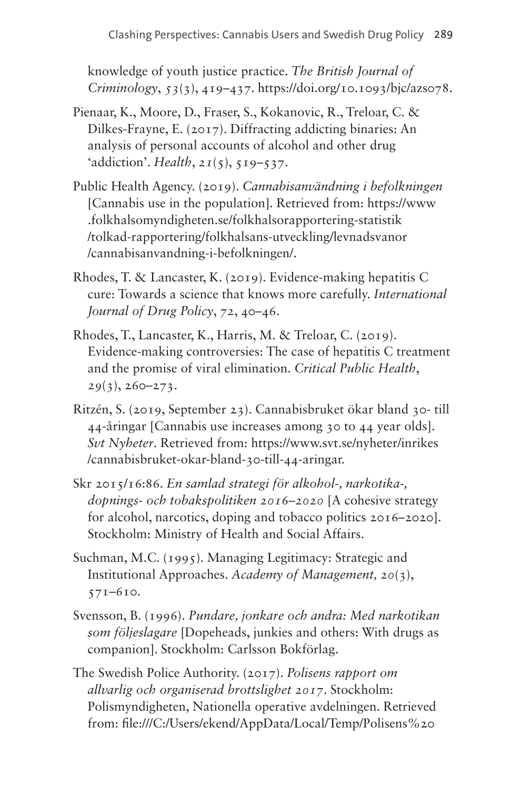knowledge of youth justice practice. *The British Journal of Criminology*, *53*(3), 419–437. <https://doi.org/10.1093/bjc/azs078>.

- Pienaar, K., Moore, D., Fraser, S., Kokanovic, R., Treloar, C. & Dilkes-Frayne, E. (2017). Diffracting addicting binaries: An analysis of personal accounts of alcohol and other drug 'addiction'. *Health*, *21*(5), 519–537.
- Public Health Agency. (2019). *Cannabisanvändning i befolkningen* [Cannabis use in the population]. Retrieved from: [https://www](https://www.folkhalsomyndigheten.se/folkhalsorapportering-statistik/tolkad-rapportering/folkhalsans-utveckling/levnadsvanor/cannabisanvandning-i-befolkningen/) [.folkhalsomyndigheten.se/folkhalsorapportering-statistik](https://www.folkhalsomyndigheten.se/folkhalsorapportering-statistik/tolkad-rapportering/folkhalsans-utveckling/levnadsvanor/cannabisanvandning-i-befolkningen/) [/tolkad-rapportering/folkhalsans-utveckling/levnadsvanor](https://www.folkhalsomyndigheten.se/folkhalsorapportering-statistik/tolkad-rapportering/folkhalsans-utveckling/levnadsvanor/cannabisanvandning-i-befolkningen/) [/cannabisanvandning-i-befolkningen/.](https://www.folkhalsomyndigheten.se/folkhalsorapportering-statistik/tolkad-rapportering/folkhalsans-utveckling/levnadsvanor/cannabisanvandning-i-befolkningen/)
- Rhodes, T. & Lancaster, K. (2019). Evidence-making hepatitis C cure: Towards a science that knows more carefully. *International Journal of Drug Policy*, *72*, 40–46.
- Rhodes, T., Lancaster, K., Harris, M. & Treloar, C. (2019). Evidence-making controversies: The case of hepatitis C treatment and the promise of viral elimination. *Critical Public Health*, *29*(3), 260–273.
- Ritzén, S. (2019, September 23). Cannabisbruket ökar bland 30- till 44-åringar [Cannabis use increases among 30 to 44 year olds]. *Svt Nyheter*. Retrieved from: [https://www.svt.se/nyheter/inrikes](https://www.svt.se/nyheter/inrikes/cannabisbruket-okar-bland-30-till-44-aringar) [/cannabisbruket-okar-bland-30-till-44-aringar.](https://www.svt.se/nyheter/inrikes/cannabisbruket-okar-bland-30-till-44-aringar)
- Skr 2015/16:86. *En samlad strategi för alkohol-, narkotika-, dopnings- och tobakspolitiken 2016–2020* [A cohesive strategy for alcohol, narcotics, doping and tobacco politics 2016–2020]. Stockholm: Ministry of Health and Social Affairs.
- Suchman, M.C. (1995). Managing Legitimacy: Strategic and Institutional Approaches. *Academy of Management, 20*(3), 571–610.
- Svensson, B. (1996). *Pundare, jonkare och andra: Med narkotikan som följeslagare* [Dopeheads, junkies and others: With drugs as companion]. Stockholm: Carlsson Bokförlag.
- The Swedish Police Authority. (2017). *Polisens rapport om allvarlig och organiserad brottslighet 2017*. Stockholm: Polismyndigheten, Nationella operative avdelningen. Retrieved from: file:///C:/Users/ekend/AppData/Local/Temp/Polisens%20